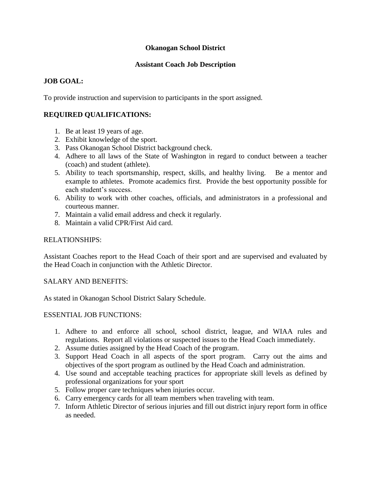### **Okanogan School District**

### **Assistant Coach Job Description**

# **JOB GOAL:**

To provide instruction and supervision to participants in the sport assigned.

# **REQUIRED QUALIFICATIONS:**

- 1. Be at least 19 years of age.
- 2. Exhibit knowledge of the sport.
- 3. Pass Okanogan School District background check.
- 4. Adhere to all laws of the State of Washington in regard to conduct between a teacher (coach) and student (athlete).
- 5. Ability to teach sportsmanship, respect, skills, and healthy living. Be a mentor and example to athletes. Promote academics first. Provide the best opportunity possible for each student's success.
- 6. Ability to work with other coaches, officials, and administrators in a professional and courteous manner.
- 7. Maintain a valid email address and check it regularly.
- 8. Maintain a valid CPR/First Aid card.

#### RELATIONSHIPS:

Assistant Coaches report to the Head Coach of their sport and are supervised and evaluated by the Head Coach in conjunction with the Athletic Director.

#### SALARY AND BENEFITS:

As stated in Okanogan School District Salary Schedule.

#### ESSENTIAL JOB FUNCTIONS:

- 1. Adhere to and enforce all school, school district, league, and WIAA rules and regulations. Report all violations or suspected issues to the Head Coach immediately.
- 2. Assume duties assigned by the Head Coach of the program.
- 3. Support Head Coach in all aspects of the sport program. Carry out the aims and objectives of the sport program as outlined by the Head Coach and administration.
- 4. Use sound and acceptable teaching practices for appropriate skill levels as defined by professional organizations for your sport
- 5. Follow proper care techniques when injuries occur.
- 6. Carry emergency cards for all team members when traveling with team.
- 7. Inform Athletic Director of serious injuries and fill out district injury report form in office as needed.